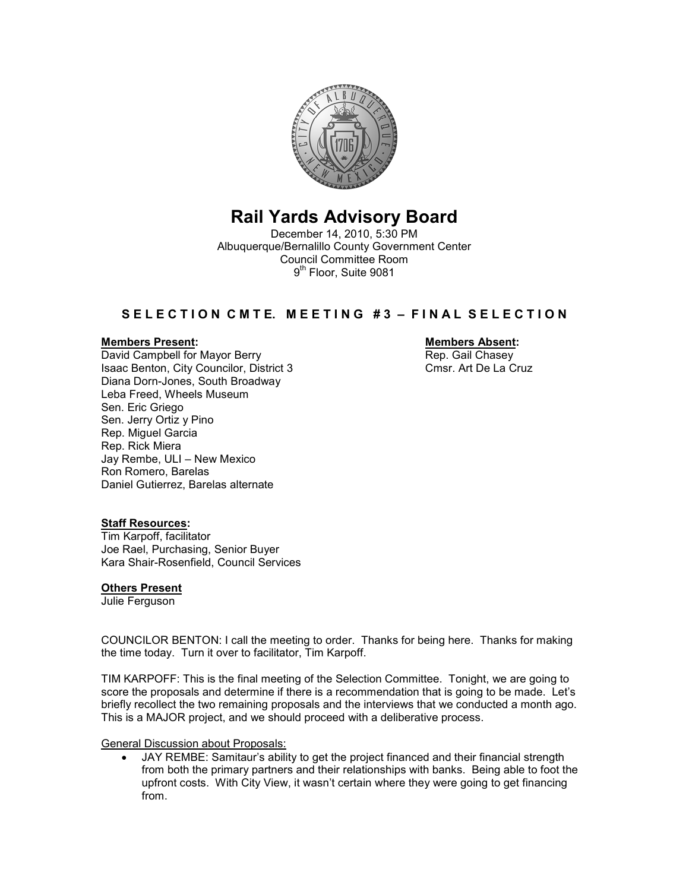

# Rail Yards Advisory Board

December 14, 2010, 5:30 PM Albuquerque/Bernalillo County Government Center Council Committee Room 9<sup>th</sup> Floor, Suite 9081

# S E L E C T I O N C M T E. M E E T I N G # 3 - F I N A L S E L E C T I O N

Members Present: Members Absent: David Campbell for Mayor Berry Isaac Benton, City Councilor, District 3 Cmsr. Art De La Cruz Diana Dorn-Jones, South Broadway Leba Freed, Wheels Museum Sen. Eric Griego Sen. Jerry Ortiz y Pino Rep. Miguel Garcia Rep. Rick Miera Jay Rembe, ULI – New Mexico Ron Romero, Barelas Daniel Gutierrez, Barelas alternate

## **Staff Resources:**

Tim Karpoff, facilitator Joe Rael, Purchasing, Senior Buyer Kara Shair-Rosenfield, Council Services

## Others Present

Julie Ferguson

COUNCILOR BENTON: I call the meeting to order. Thanks for being here. Thanks for making the time today. Turn it over to facilitator, Tim Karpoff.

TIM KARPOFF: This is the final meeting of the Selection Committee. Tonight, we are going to score the proposals and determine if there is a recommendation that is going to be made. Let's briefly recollect the two remaining proposals and the interviews that we conducted a month ago. This is a MAJOR project, and we should proceed with a deliberative process.

General Discussion about Proposals:

• JAY REMBE: Samitaur's ability to get the project financed and their financial strength from both the primary partners and their relationships with banks. Being able to foot the upfront costs. With City View, it wasn't certain where they were going to get financing from.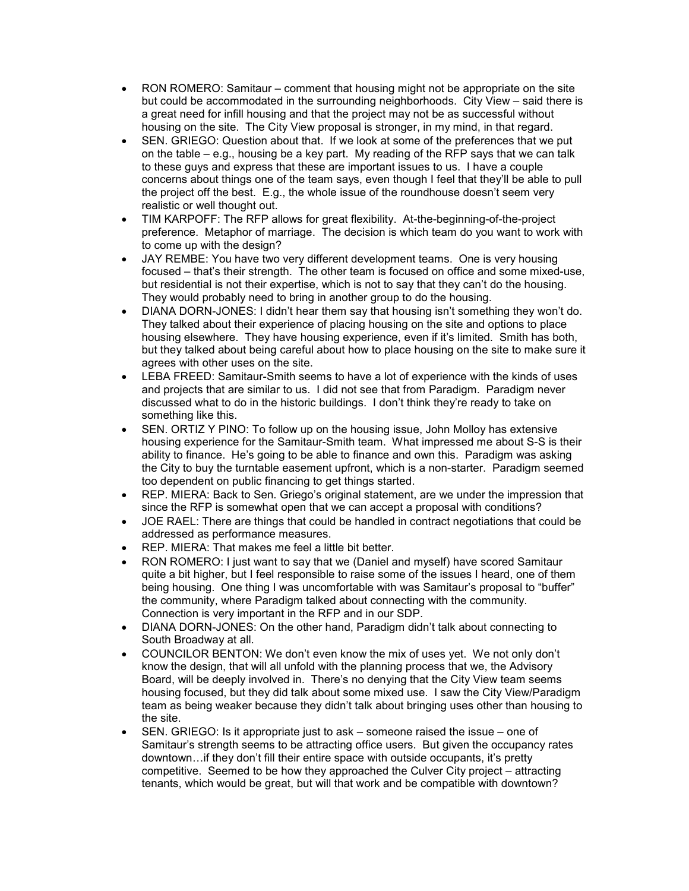- RON ROMERO: Samitaur comment that housing might not be appropriate on the site but could be accommodated in the surrounding neighborhoods. City View – said there is a great need for infill housing and that the project may not be as successful without housing on the site. The City View proposal is stronger, in my mind, in that regard.
- SEN. GRIEGO: Question about that. If we look at some of the preferences that we put on the table – e.g., housing be a key part. My reading of the RFP says that we can talk to these guys and express that these are important issues to us. I have a couple concerns about things one of the team says, even though I feel that they'll be able to pull the project off the best. E.g., the whole issue of the roundhouse doesn't seem very realistic or well thought out.
- TIM KARPOFF: The RFP allows for great flexibility. At-the-beginning-of-the-project preference. Metaphor of marriage. The decision is which team do you want to work with to come up with the design?
- JAY REMBE: You have two very different development teams. One is very housing focused – that's their strength. The other team is focused on office and some mixed-use, but residential is not their expertise, which is not to say that they can't do the housing. They would probably need to bring in another group to do the housing.
- DIANA DORN-JONES: I didn't hear them say that housing isn't something they won't do. They talked about their experience of placing housing on the site and options to place housing elsewhere. They have housing experience, even if it's limited. Smith has both, but they talked about being careful about how to place housing on the site to make sure it agrees with other uses on the site.
- LEBA FREED: Samitaur-Smith seems to have a lot of experience with the kinds of uses and projects that are similar to us. I did not see that from Paradigm. Paradigm never discussed what to do in the historic buildings. I don't think they're ready to take on something like this.
- SEN. ORTIZ Y PINO: To follow up on the housing issue, John Molloy has extensive housing experience for the Samitaur-Smith team. What impressed me about S-S is their ability to finance. He's going to be able to finance and own this. Paradigm was asking the City to buy the turntable easement upfront, which is a non-starter. Paradigm seemed too dependent on public financing to get things started.
- REP. MIERA: Back to Sen. Griego's original statement, are we under the impression that since the RFP is somewhat open that we can accept a proposal with conditions?
- JOE RAEL: There are things that could be handled in contract negotiations that could be addressed as performance measures.
- REP. MIERA: That makes me feel a little bit better.
- RON ROMERO: I just want to say that we (Daniel and myself) have scored Samitaur quite a bit higher, but I feel responsible to raise some of the issues I heard, one of them being housing. One thing I was uncomfortable with was Samitaur's proposal to "buffer" the community, where Paradigm talked about connecting with the community. Connection is very important in the RFP and in our SDP.
- DIANA DORN-JONES: On the other hand, Paradigm didn't talk about connecting to South Broadway at all.
- COUNCILOR BENTON: We don't even know the mix of uses yet. We not only don't know the design, that will all unfold with the planning process that we, the Advisory Board, will be deeply involved in. There's no denying that the City View team seems housing focused, but they did talk about some mixed use. I saw the City View/Paradigm team as being weaker because they didn't talk about bringing uses other than housing to the site.
- SEN. GRIEGO: Is it appropriate just to ask someone raised the issue one of Samitaur's strength seems to be attracting office users. But given the occupancy rates downtown…if they don't fill their entire space with outside occupants, it's pretty competitive. Seemed to be how they approached the Culver City project – attracting tenants, which would be great, but will that work and be compatible with downtown?